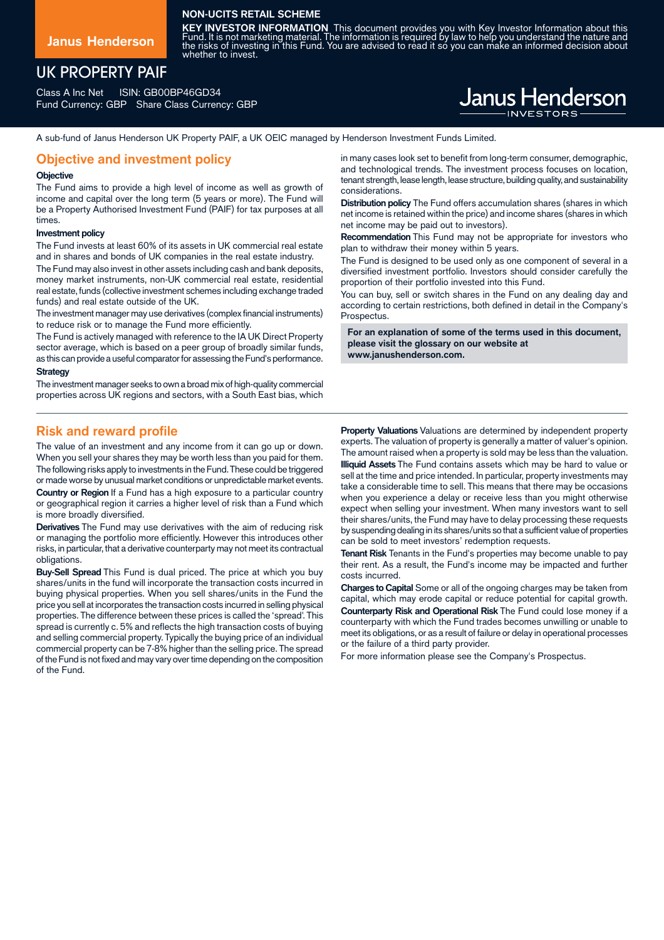## **NON-UCITS RETAIL SCHEME**

**Janus Henderson**

## UK PROPERTY PAIF

Class A Inc Net ISIN: GB00BP46GD34 Fund Currency: GBP Share Class Currency: GBP

# **KEY INVESTOR INFORMATION** This document provides you with Key Investor Information about this<br>Fund. It is not marketing material. The information is required by law to help you understand the nature and<br>the risks of inves whether to invest.

A sub-fund of Janus Henderson UK Property PAIF, a UK OEIC managed by Henderson Investment Funds Limited.

## **Objective and investment policy**

#### **Objective**

The Fund aims to provide a high level of income as well as growth of income and capital over the long term (5 years or more). The Fund will be a Property Authorised Investment Fund (PAIF) for tax purposes at all times.

#### **Investment policy**

The Fund invests at least 60% of its assets in UK commercial real estate and in shares and bonds of UK companies in the real estate industry.

The Fund may also invest in other assets including cash and bank deposits, money market instruments, non-UK commercial real estate, residential real estate, funds (collective investment schemes including exchange traded funds) and real estate outside of the UK.

The investment manager may use derivatives (complex financial instruments) to reduce risk or to manage the Fund more efficiently.

The Fund is actively managed with reference to the IA UK Direct Property sector average, which is based on a peer group of broadly similar funds, as this can provide a useful comparator for assessing the Fund's performance.

#### **Strategy**

The investment manager seeks to own a broad mix of high-quality commercial properties across UK regions and sectors, with a South East bias, which in many cases look set to benefit from long-term consumer, demographic, and technological trends. The investment process focuses on location, tenant strength, lease length, lease structure, building quality, and sustainability considerations.

**Janus Henderson** 

**Distribution policy** The Fund offers accumulation shares (shares in which net income is retained within the price) and income shares (shares in which net income may be paid out to investors).

**Recommendation** This Fund may not be appropriate for investors who plan to withdraw their money within 5 years.

The Fund is designed to be used only as one component of several in a diversified investment portfolio. Investors should consider carefully the proportion of their portfolio invested into this Fund.

You can buy, sell or switch shares in the Fund on any dealing day and according to certain restrictions, both defined in detail in the Company's Prospectus.

**For an explanation of some of the terms used in this document, please visit the glossary on our website at www.janushenderson.com.**

## **Risk and reward profile**

The value of an investment and any income from it can go up or down. When you sell your shares they may be worth less than you paid for them. The following risks apply to investments in the Fund.These could be triggered or made worse by unusual market conditions or unpredictable market events. **Country or Region** If a Fund has a high exposure to a particular country

or geographical region it carries a higher level of risk than a Fund which is more broadly diversified.

**Derivatives** The Fund may use derivatives with the aim of reducing risk or managing the portfolio more efficiently. However this introduces other risks, in particular, that a derivative counterparty may not meet its contractual obligations.

**Buy-Sell Spread** This Fund is dual priced. The price at which you buy shares/units in the fund will incorporate the transaction costs incurred in buying physical properties. When you sell shares/units in the Fund the price you sell at incorporates the transaction costs incurred in selling physical properties. The difference between these prices is called the 'spread'. This spread is currently c. 5% and reflects the high transaction costs of buying and selling commercial property. Typically the buying price of an individual commercial property can be 7-8% higher than the selling price. The spread of the Fund is not fixed and may vary over time depending on the composition of the Fund.

**Property Valuations** Valuations are determined by independent property experts. The valuation of property is generally a matter of valuer's opinion. The amount raised when a property is sold may be less than the valuation. **Illiquid Assets** The Fund contains assets which may be hard to value or sell at the time and price intended. In particular, property investments may take a considerable time to sell. This means that there may be occasions when you experience a delay or receive less than you might otherwise expect when selling your investment. When many investors want to sell their shares/units, the Fund may have to delay processing these requests by suspending dealing in its shares/units sothat a sufficient value of properties can be sold to meet investors' redemption requests.

**Tenant Risk** Tenants in the Fund's properties may become unable to pay their rent. As a result, the Fund's income may be impacted and further costs incurred.

**Charges to Capital** Some or all of the ongoing charges may be taken from capital, which may erode capital or reduce potential for capital growth. **Counterparty Risk and Operational Risk** The Fund could lose money if a counterparty with which the Fund trades becomes unwilling or unable to meet its obligations, or as a result of failure or delay in operational processes or the failure of a third party provider.

For more information please see the Company's Prospectus.